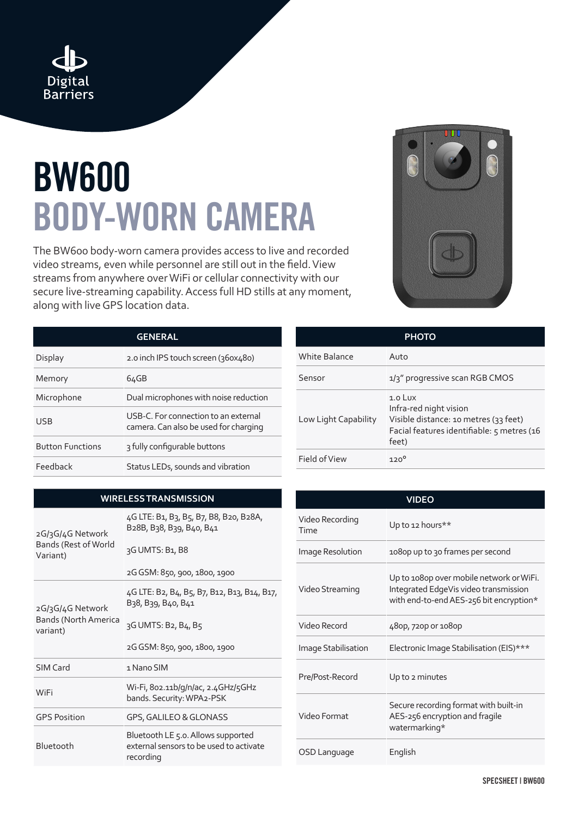

## **BW600 BODY-WORN CAMERA**

The BW600 body-worn camera provides access to live and recorded video streams, even while personnel are still out in the field. View streams from anywhere over WiFi or cellular connectivity with our secure live-streaming capability. Access full HD stills at any moment, along with live GPS location data.

| <b>GENERAL</b>          |                                                                               |  |
|-------------------------|-------------------------------------------------------------------------------|--|
| Display                 | 2.0 inch IPS touch screen (360x480)                                           |  |
| Memory                  | 64GB                                                                          |  |
| Microphone              | Dual microphones with noise reduction                                         |  |
| USB                     | USB-C. For connection to an external<br>camera. Can also be used for charging |  |
| <b>Button Functions</b> | 3 fully configurable buttons                                                  |  |

| UUU |  |
|-----|--|
|     |  |

| <b>PHOTO</b>         |                                                                                                                                     |  |
|----------------------|-------------------------------------------------------------------------------------------------------------------------------------|--|
| <b>White Balance</b> | Auto                                                                                                                                |  |
| Sensor               | 1/3" progressive scan RGB CMOS                                                                                                      |  |
| Low Light Capability | $1.0$ Lux<br>Infra-red night vision<br>Visible distance: 10 metres (33 feet)<br>Facial features identifiable: 5 metres (16<br>feet) |  |
| Field of View        | $120^{\circ}$                                                                                                                       |  |

| <b>VIDEO</b>            |                                                                                                                              |
|-------------------------|------------------------------------------------------------------------------------------------------------------------------|
| Video Recording<br>Time | Up to 12 hours**                                                                                                             |
| Image Resolution        | 1080p up to 30 frames per second                                                                                             |
| Video Streaming         | Up to 1080p over mobile network or WiFi.<br>Integrated EdgeVis video transmission<br>with end-to-end AES-256 bit encryption* |
| Video Record            | 48op, 72op or 108op                                                                                                          |
| Image Stabilisation     | Electronic Image Stabilisation (EIS)***                                                                                      |
| Pre/Post-Record         | Up to 2 minutes                                                                                                              |
| Video Format            | Secure recording format with built-in<br>AES-256 encryption and fragile<br>watermarking*                                     |
| OSD Language            | English                                                                                                                      |

## **WIRELESS TRANSMISSION**

Feedback Status LEDs, sounds and vibration

| 2G/3G/4G Network<br>Bands (Rest of World<br>Variant) | 4G LTE: B1, B3, B5, B7, B8, B20, B28A,<br>B <sub>2</sub> 8B, B <sub>3</sub> 8, B <sub>39</sub> , B <sub>40</sub> , B <sub>41</sub><br>3G UMTS: B1, B8<br>2G GSM: 850, 900, 1800, 1900 |
|------------------------------------------------------|---------------------------------------------------------------------------------------------------------------------------------------------------------------------------------------|
| 2G/3G/4G Network<br>Bands (North America<br>variant) | 4G LTE: B2, B4, B5, B7, B12, B13, B14, B17,<br>B <sub>3</sub> 8, B <sub>39</sub> , B <sub>40</sub> , B <sub>41</sub><br>3G UMTS: B2, B4, B5<br>2G GSM: 850, 900, 1800, 1900           |
| SIM Card                                             | 1 Nano SIM                                                                                                                                                                            |
| WiFi                                                 | Wi-Fi, 802.11b/g/n/ac, 2.4GHz/5GHz<br>bands. Security: WPA2-PSK                                                                                                                       |
| <b>GPS Position</b>                                  | GPS, GALILEO & GLONASS                                                                                                                                                                |
| Bluetooth                                            | Bluetooth LE 5.0. Allows supported<br>external sensors to be used to activate<br>recording                                                                                            |